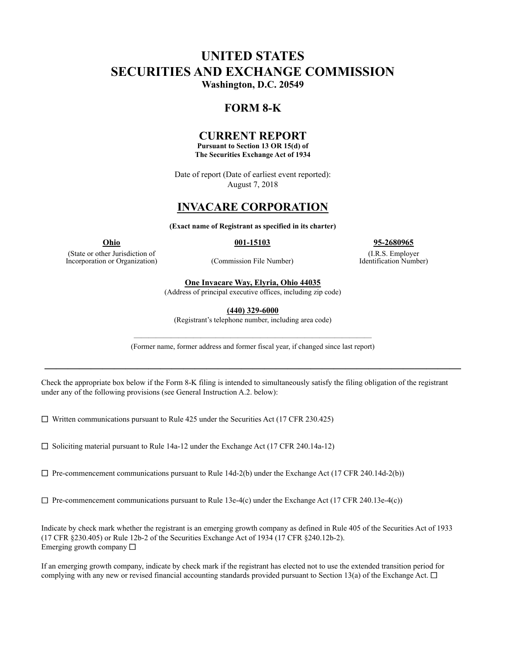# **UNITED STATES SECURITIES AND EXCHANGE COMMISSION Washington, D.C. 20549**

# **FORM 8-K**

# **CURRENT REPORT**

**Pursuant to Section 13 OR 15(d) of The Securities Exchange Act of 1934**

Date of report (Date of earliest event reported): August 7, 2018

# **INVACARE CORPORATION**

**(Exact name of Registrant as specified in its charter)**

(State or other Jurisdiction of Incorporation or Organization) (Commission File Number)

**Ohio 001-15103 95-2680965**

(I.R.S. Employer Identification Number)

**One Invacare Way, Elyria, Ohio 44035**

(Address of principal executive offices, including zip code)

**(440) 329-6000**

(Registrant's telephone number, including area code)

———————————————————————————————— (Former name, former address and former fiscal year, if changed since last report)

**————————————————————————————————————**

Check the appropriate box below if the Form 8-K filing is intended to simultaneously satisfy the filing obligation of the registrant under any of the following provisions (see General Instruction A.2. below):

 $\Box$  Written communications pursuant to Rule 425 under the Securities Act (17 CFR 230.425)

 $\Box$  Soliciting material pursuant to Rule 14a-12 under the Exchange Act (17 CFR 240.14a-12)

 $\Box$  Pre-commencement communications pursuant to Rule 14d-2(b) under the Exchange Act (17 CFR 240.14d-2(b))

 $\Box$  Pre-commencement communications pursuant to Rule 13e-4(c) under the Exchange Act (17 CFR 240.13e-4(c))

Indicate by check mark whether the registrant is an emerging growth company as defined in Rule 405 of the Securities Act of 1933 (17 CFR §230.405) or Rule 12b-2 of the Securities Exchange Act of 1934 (17 CFR §240.12b-2). Emerging growth company  $\Box$ 

If an emerging growth company, indicate by check mark if the registrant has elected not to use the extended transition period for complying with any new or revised financial accounting standards provided pursuant to Section 13(a) of the Exchange Act.  $\Box$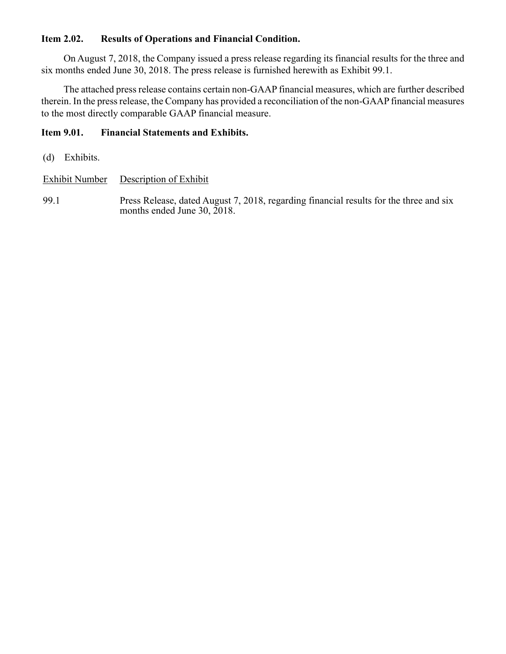# **Item 2.02. Results of Operations and Financial Condition.**

On August 7, 2018, the Company issued a press release regarding its financial results for the three and six months ended June 30, 2018. The press release is furnished herewith as Exhibit 99.1.

The attached press release contains certain non-GAAP financial measures, which are further described therein. In the press release, the Company has provided a reconciliation of the non-GAAP financial measures to the most directly comparable GAAP financial measure.

# **Item 9.01. Financial Statements and Exhibits.**

(d) Exhibits.

Exhibit Number Description of Exhibit

99.1 Press Release, dated August 7, 2018, regarding financial results for the three and six months ended June 30, 2018.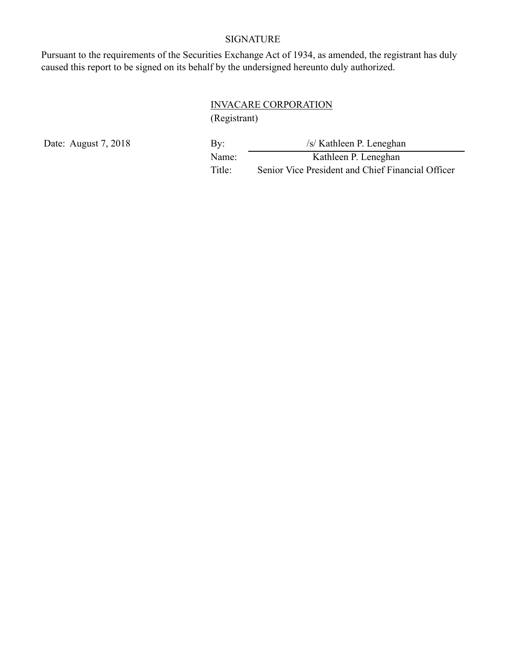# SIGNATURE

Pursuant to the requirements of the Securities Exchange Act of 1934, as amended, the registrant has duly caused this report to be signed on its behalf by the undersigned hereunto duly authorized.

# INVACARE CORPORATION

(Registrant)

Date: August 7, 2018 By: *by:* /s/ Kathleen P. Leneghan Name: Kathleen P. Leneghan Title: Senior Vice President and Chief Financial Officer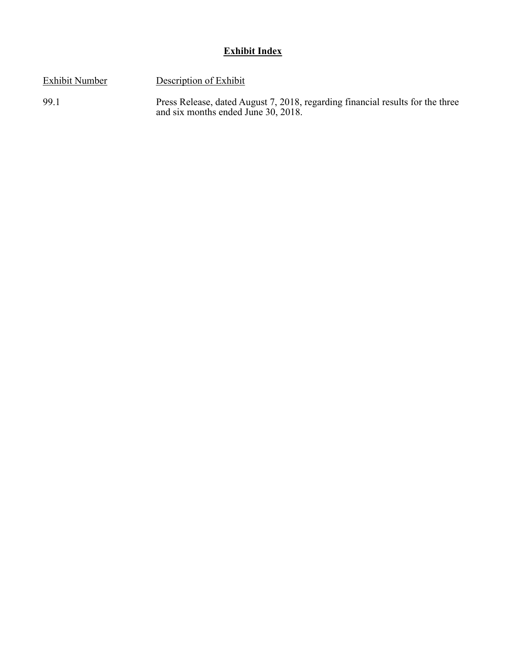# **Exhibit Index**

Exhibit Number Description of Exhibit

99.1 Press Release, dated August 7, 2018, regarding financial results for the three and six months ended June 30, 2018.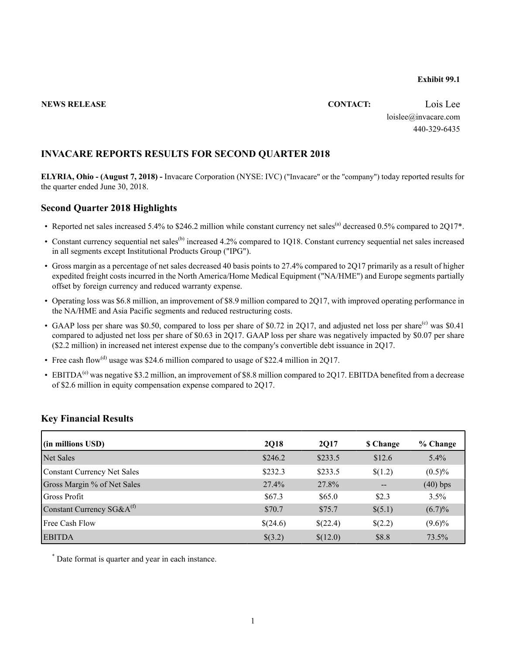#### **Exhibit 99.1**

# **NEWS RELEASE CONTACT:** Lois Lee loislee@invacare.com 440-329-6435

#### **INVACARE REPORTS RESULTS FOR SECOND QUARTER 2018**

**ELYRIA, Ohio - (August 7, 2018) -** Invacare Corporation (NYSE: IVC) ("Invacare" or the "company") today reported results for the quarter ended June 30, 2018.

#### **Second Quarter 2018 Highlights**

- Reported net sales increased 5.4% to \$246.2 million while constant currency net sales<sup>(a)</sup> decreased 0.5% compared to 2017\*.
- Constant currency sequential net sales<sup>(b)</sup> increased 4.2% compared to 1Q18. Constant currency sequential net sales increased in all segments except Institutional Products Group ("IPG").
- Gross margin as a percentage of net sales decreased 40 basis points to 27.4% compared to 2Q17 primarily as a result of higher expedited freight costs incurred in the North America/Home Medical Equipment ("NA/HME") and Europe segments partially offset by foreign currency and reduced warranty expense.
- Operating loss was \$6.8 million, an improvement of \$8.9 million compared to 2Q17, with improved operating performance in the NA/HME and Asia Pacific segments and reduced restructuring costs.
- GAAP loss per share was \$0.50, compared to loss per share of \$0.72 in 2Q17, and adjusted net loss per share<sup>(c)</sup> was \$0.41 compared to adjusted net loss per share of \$0.63 in 2Q17. GAAP loss per share was negatively impacted by \$0.07 per share (\$2.2 million) in increased net interest expense due to the company's convertible debt issuance in 2Q17.
- Free cash flow<sup>(d)</sup> usage was \$24.6 million compared to usage of \$22.4 million in 2Q17.
- EBITDA<sup>(e)</sup> was negative \$3.2 million, an improvement of \$8.8 million compared to 2Q17. EBITDA benefited from a decrease of \$2.6 million in equity compensation expense compared to 2Q17.

| (in millions USD)                     | <b>2Q18</b> | 2Q17     | <b>S</b> Change          | % Change   |
|---------------------------------------|-------------|----------|--------------------------|------------|
| Net Sales                             | \$246.2     | \$233.5  | \$12.6                   | $5.4\%$    |
| Constant Currency Net Sales           | \$232.3     | \$233.5  | \$(1.2)                  | $(0.5)\%$  |
| Gross Margin % of Net Sales           | $27.4\%$    | 27.8%    | $\overline{\phantom{a}}$ | $(40)$ bps |
| Gross Profit                          | \$67.3      | \$65.0   | \$2.3                    | $3.5\%$    |
| Constant Currency SG&A <sup>(f)</sup> | \$70.7      | \$75.7   | $\$(5.1)$                | $(6.7)\%$  |
| Free Cash Flow                        | \$(24.6)    | \$(22.4) | \$(2.2)                  | $(9.6)\%$  |
| <b>EBITDA</b>                         | \$(3.2)     | \$(12.0) | \$8.8                    | 73.5%      |

#### **Key Financial Results**

\* Date format is quarter and year in each instance.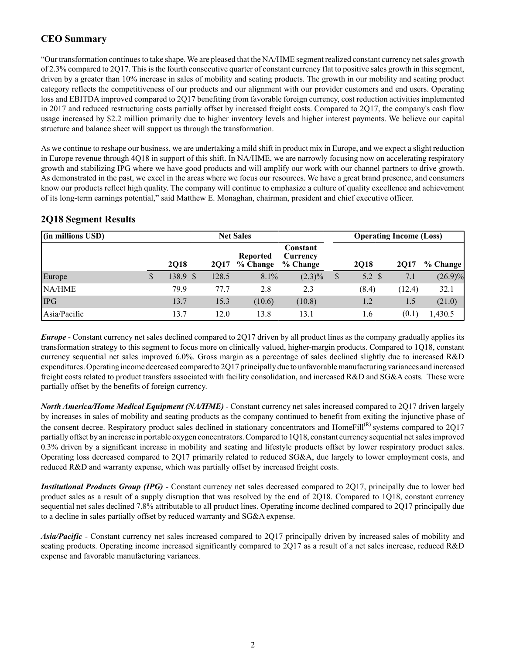# **CEO Summary**

"Our transformation continues to take shape. We are pleased that the NA/HME segment realized constant currency net sales growth of 2.3% compared to 2Q17. This is the fourth consecutive quarter of constant currency flat to positive sales growth in this segment, driven by a greater than 10% increase in sales of mobility and seating products. The growth in our mobility and seating product category reflects the competitiveness of our products and our alignment with our provider customers and end users. Operating loss and EBITDA improved compared to 2Q17 benefiting from favorable foreign currency, cost reduction activities implemented in 2017 and reduced restructuring costs partially offset by increased freight costs. Compared to 2Q17, the company's cash flow usage increased by \$2.2 million primarily due to higher inventory levels and higher interest payments. We believe our capital structure and balance sheet will support us through the transformation.

As we continue to reshape our business, we are undertaking a mild shift in product mix in Europe, and we expect a slight reduction in Europe revenue through 4Q18 in support of this shift. In NA/HME, we are narrowly focusing now on accelerating respiratory growth and stabilizing IPG where we have good products and will amplify our work with our channel partners to drive growth. As demonstrated in the past, we excel in the areas where we focus our resources. We have a great brand presence, and consumers know our products reflect high quality. The company will continue to emphasize a culture of quality excellence and achievement of its long-term earnings potential," said Matthew E. Monaghan, chairman, president and chief executive officer.

| (in millions USD) |   |             |       | <b>Net Sales</b>            |                                  | <b>Operating Income (Loss)</b> |             |             |            |
|-------------------|---|-------------|-------|-----------------------------|----------------------------------|--------------------------------|-------------|-------------|------------|
|                   |   | <b>2Q18</b> | 2017  | <b>Reported</b><br>% Change | Constant<br>Currency<br>% Change |                                | <b>2Q18</b> | <b>2017</b> | % Change   |
| Europe            | S | 138.9 \$    | 128.5 | $8.1\%$                     | $(2.3)\%$                        | S                              | 5.2 $$$     | 7.1         | $(26.9)\%$ |
| NA/HME            |   | 79.9        | 77.7  | 2.8                         | 2.3                              |                                | (8.4)       | (12.4)      | 32.1       |
| <b>IPG</b>        |   | 13.7        | 15.3  | (10.6)                      | (10.8)                           |                                | 1.2         | 1.5         | (21.0)     |
| Asia/Pacific      |   | 13.7        | 12.0  | 13.8                        | 13.1                             |                                | 1.6         | (0.1)       | 1,430.5    |

#### **2Q18 Segment Results**

*Europe* - Constant currency net sales declined compared to 2Q17 driven by all product lines as the company gradually applies its transformation strategy to this segment to focus more on clinically valued, higher-margin products. Compared to 1Q18, constant currency sequential net sales improved 6.0%. Gross margin as a percentage of sales declined slightly due to increased R&D expenditures. Operating income decreased compared to 2Q17 principally due to unfavorable manufacturing variances and increased freight costs related to product transfers associated with facility consolidation, and increased R&D and SG&A costs. These were partially offset by the benefits of foreign currency.

*North America/Home Medical Equipment (NA/HME)* - Constant currency net sales increased compared to 2Q17 driven largely by increases in sales of mobility and seating products as the company continued to benefit from exiting the injunctive phase of the consent decree. Respiratory product sales declined in stationary concentrators and HomeFill<sup>(R)</sup> systems compared to  $2Q17$ partially offset by an increase in portable oxygen concentrators. Compared to 1Q18, constant currency sequential net sales improved 0.3% driven by a significant increase in mobility and seating and lifestyle products offset by lower respiratory product sales. Operating loss decreased compared to 2Q17 primarily related to reduced SG&A, due largely to lower employment costs, and reduced R&D and warranty expense, which was partially offset by increased freight costs.

*Institutional Products Group (IPG)* - Constant currency net sales decreased compared to 2Q17, principally due to lower bed product sales as a result of a supply disruption that was resolved by the end of 2Q18. Compared to 1Q18, constant currency sequential net sales declined 7.8% attributable to all product lines. Operating income declined compared to 2Q17 principally due to a decline in sales partially offset by reduced warranty and SG&A expense.

*Asia/Pacific* - Constant currency net sales increased compared to 2Q17 principally driven by increased sales of mobility and seating products. Operating income increased significantly compared to 2Q17 as a result of a net sales increase, reduced R&D expense and favorable manufacturing variances.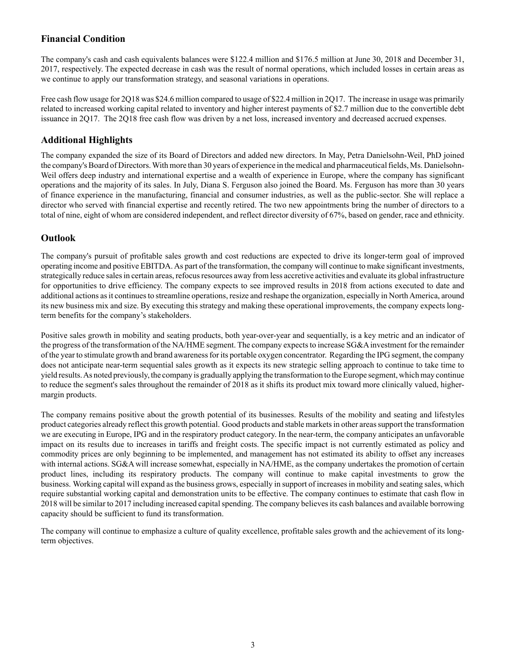# **Financial Condition**

The company's cash and cash equivalents balances were \$122.4 million and \$176.5 million at June 30, 2018 and December 31, 2017, respectively. The expected decrease in cash was the result of normal operations, which included losses in certain areas as we continue to apply our transformation strategy, and seasonal variations in operations.

Free cash flow usage for 2Q18 was \$24.6 million compared to usage of \$22.4 million in 2Q17. The increase in usage was primarily related to increased working capital related to inventory and higher interest payments of \$2.7 million due to the convertible debt issuance in 2Q17. The 2Q18 free cash flow was driven by a net loss, increased inventory and decreased accrued expenses.

# **Additional Highlights**

The company expanded the size of its Board of Directors and added new directors. In May, Petra Danielsohn-Weil, PhD joined the company's Board of Directors. With more than 30 years of experience in the medical and pharmaceutical fields, Ms. Danielsohn-Weil offers deep industry and international expertise and a wealth of experience in Europe, where the company has significant operations and the majority of its sales. In July, Diana S. Ferguson also joined the Board. Ms. Ferguson has more than 30 years of finance experience in the manufacturing, financial and consumer industries, as well as the public-sector. She will replace a director who served with financial expertise and recently retired. The two new appointments bring the number of directors to a total of nine, eight of whom are considered independent, and reflect director diversity of 67%, based on gender, race and ethnicity.

# **Outlook**

The company's pursuit of profitable sales growth and cost reductions are expected to drive its longer-term goal of improved operating income and positive EBITDA. As part of the transformation, the company will continue to make significant investments, strategically reduce sales in certain areas, refocus resources away from less accretive activities and evaluate its global infrastructure for opportunities to drive efficiency. The company expects to see improved results in 2018 from actions executed to date and additional actions as it continues to streamline operations, resize and reshape the organization, especially in North America, around its new business mix and size. By executing this strategy and making these operational improvements, the company expects longterm benefits for the company's stakeholders.

Positive sales growth in mobility and seating products, both year-over-year and sequentially, is a key metric and an indicator of the progress of the transformation of the NA/HME segment. The company expects to increase SG&A investment for the remainder of the year to stimulate growth and brand awareness for its portable oxygen concentrator. Regarding the IPG segment, the company does not anticipate near-term sequential sales growth as it expects its new strategic selling approach to continue to take time to yield results. As noted previously, the company is gradually applying the transformation to the Europe segment, which may continue to reduce the segment's sales throughout the remainder of 2018 as it shifts its product mix toward more clinically valued, highermargin products.

The company remains positive about the growth potential of its businesses. Results of the mobility and seating and lifestyles product categories already reflect this growth potential. Good products and stable markets in other areas support the transformation we are executing in Europe, IPG and in the respiratory product category. In the near-term, the company anticipates an unfavorable impact on its results due to increases in tariffs and freight costs. The specific impact is not currently estimated as policy and commodity prices are only beginning to be implemented, and management has not estimated its ability to offset any increases with internal actions. SG&A will increase somewhat, especially in NA/HME, as the company undertakes the promotion of certain product lines, including its respiratory products. The company will continue to make capital investments to grow the business. Working capital will expand as the business grows, especially in support of increases in mobility and seating sales, which require substantial working capital and demonstration units to be effective. The company continues to estimate that cash flow in 2018 will be similar to 2017 including increased capital spending. The company believes its cash balances and available borrowing capacity should be sufficient to fund its transformation.

The company will continue to emphasize a culture of quality excellence, profitable sales growth and the achievement of its longterm objectives.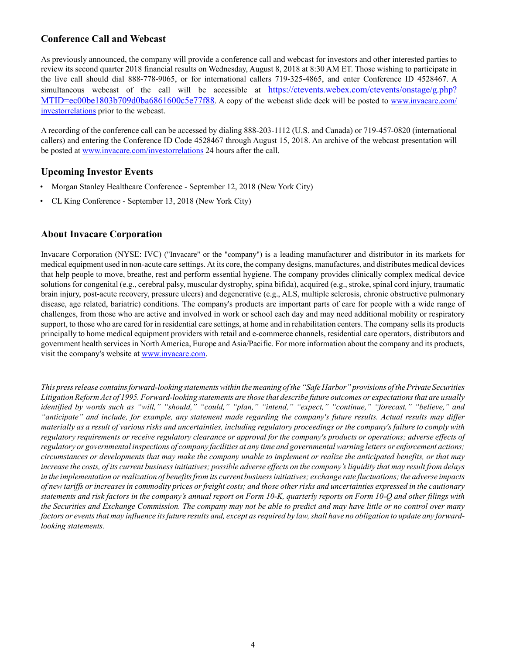# **Conference Call and Webcast**

As previously announced, the company will provide a conference call and webcast for investors and other interested parties to review its second quarter 2018 financial results on Wednesday, August 8, 2018 at 8:30 AM ET. Those wishing to participate in the live call should dial 888-778-9065, or for international callers 719-325-4865, and enter Conference ID 4528467. A simultaneous webcast of the call will be accessible at https://ctevents.webex.com/ctevents/onstage/g.php? MTID=ec00be1803b709d0ba6861600c5e77f88. A copy of the webcast slide deck will be posted to www.invacare.com/ investorrelations prior to the webcast.

A recording of the conference call can be accessed by dialing 888-203-1112 (U.S. and Canada) or 719-457-0820 (international callers) and entering the Conference ID Code 4528467 through August 15, 2018. An archive of the webcast presentation will be posted at www.invacare.com/investorrelations 24 hours after the call.

# **Upcoming Investor Events**

- Morgan Stanley Healthcare Conference September 12, 2018 (New York City)
- CL King Conference September 13, 2018 (New York City)

#### **About Invacare Corporation**

Invacare Corporation (NYSE: IVC) ("Invacare" or the "company") is a leading manufacturer and distributor in its markets for medical equipment used in non-acute care settings. At its core, the company designs, manufactures, and distributes medical devices that help people to move, breathe, rest and perform essential hygiene. The company provides clinically complex medical device solutions for congenital (e.g., cerebral palsy, muscular dystrophy, spina bifida), acquired (e.g., stroke, spinal cord injury, traumatic brain injury, post-acute recovery, pressure ulcers) and degenerative (e.g., ALS, multiple sclerosis, chronic obstructive pulmonary disease, age related, bariatric) conditions. The company's products are important parts of care for people with a wide range of challenges, from those who are active and involved in work or school each day and may need additional mobility or respiratory support, to those who are cared for in residential care settings, at home and in rehabilitation centers. The company sells its products principally to home medical equipment providers with retail and e-commerce channels, residential care operators, distributors and government health services in North America, Europe and Asia/Pacific. For more information about the company and its products, visit the company's website at www.invacare.com.

*This press release contains forward-looking statements within the meaning of the "Safe Harbor" provisions of the Private Securities Litigation Reform Act of 1995. Forward-looking statements are those that describe future outcomes or expectations that are usually identified by words such as "will," "should," "could," "plan," "intend," "expect," "continue," "forecast," "believe," and "anticipate" and include, for example, any statement made regarding the company's future results. Actual results may differ materially as a result of various risks and uncertainties, including regulatory proceedings or the company's failure to comply with regulatory requirements or receive regulatory clearance or approval for the company's products or operations; adverse effects of regulatory or governmental inspections of company facilities at any time and governmental warning letters or enforcement actions; circumstances or developments that may make the company unable to implement or realize the anticipated benefits, or that may increase the costs, of its current business initiatives; possible adverse effects on the company's liquidity that may result from delays in the implementation or realization of benefits from its current business initiatives; exchange rate fluctuations; the adverse impacts of new tariffs or increases in commodity prices or freight costs; and those other risks and uncertainties expressed in the cautionary statements and risk factors in the company's annual report on Form 10-K, quarterly reports on Form 10-Q and other filings with the Securities and Exchange Commission. The company may not be able to predict and may have little or no control over many factors or events that may influence its future results and, except as required by law, shall have no obligation to update any forwardlooking statements.*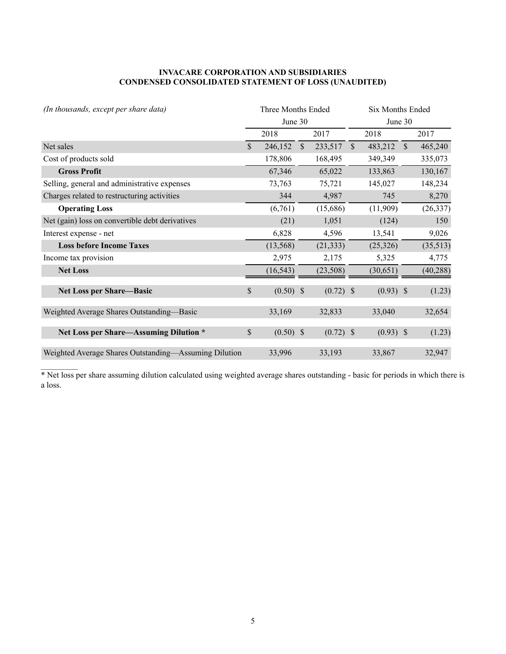#### **INVACARE CORPORATION AND SUBSIDIARIES CONDENSED CONSOLIDATED STATEMENT OF LOSS (UNAUDITED)**

| (In thousands, except per share data)                 |              | Three Months Ended |               |             |              | Six Months Ended |              |           |  |
|-------------------------------------------------------|--------------|--------------------|---------------|-------------|--------------|------------------|--------------|-----------|--|
|                                                       |              | June 30            |               |             | June 30      |                  |              |           |  |
|                                                       |              | 2018               |               | 2017        |              | 2018             |              | 2017      |  |
| Net sales                                             | $\mathbf S$  | 246,152            | $\mathcal{S}$ | 233,517     | $\mathbb{S}$ | 483,212          | $\mathbb{S}$ | 465,240   |  |
| Cost of products sold                                 |              | 178,806            |               | 168,495     |              | 349,349          |              | 335,073   |  |
| <b>Gross Profit</b>                                   |              | 67,346             |               | 65,022      |              | 133,863          |              | 130,167   |  |
| Selling, general and administrative expenses          |              | 73,763             |               | 75,721      |              | 145,027          |              | 148,234   |  |
| Charges related to restructuring activities           |              | 344                |               | 4,987       |              | 745              |              | 8,270     |  |
| <b>Operating Loss</b>                                 |              | (6,761)            |               | (15,686)    |              | (11,909)         |              | (26, 337) |  |
| Net (gain) loss on convertible debt derivatives       |              | (21)               |               | 1,051       |              | (124)            |              | 150       |  |
| Interest expense - net                                |              | 6,828              |               | 4,596       |              | 13,541           |              | 9,026     |  |
| <b>Loss before Income Taxes</b>                       |              | (13, 568)          |               | (21, 333)   |              | (25, 326)        |              | (35,513)  |  |
| Income tax provision                                  |              | 2,975              |               | 2,175       |              | 5,325            |              | 4,775     |  |
| <b>Net Loss</b>                                       |              | (16, 543)          |               | (23, 508)   |              | (30,651)         |              | (40, 288) |  |
| <b>Net Loss per Share-Basic</b>                       | $\mathbb{S}$ | $(0.50)$ \$        |               | $(0.72)$ \$ |              | $(0.93)$ \$      |              | (1.23)    |  |
| Weighted Average Shares Outstanding-Basic             |              | 33,169             |               | 32,833      |              | 33,040           |              | 32,654    |  |
| Net Loss per Share-Assuming Dilution *                | \$           | $(0.50)$ \$        |               | $(0.72)$ \$ |              | $(0.93)$ \$      |              | (1.23)    |  |
| Weighted Average Shares Outstanding-Assuming Dilution |              | 33,996             |               | 33,193      |              | 33,867           |              | 32,947    |  |

\* Net loss per share assuming dilution calculated using weighted average shares outstanding - basic for periods in which there is a loss.

 $\mathcal{L}_\text{max}$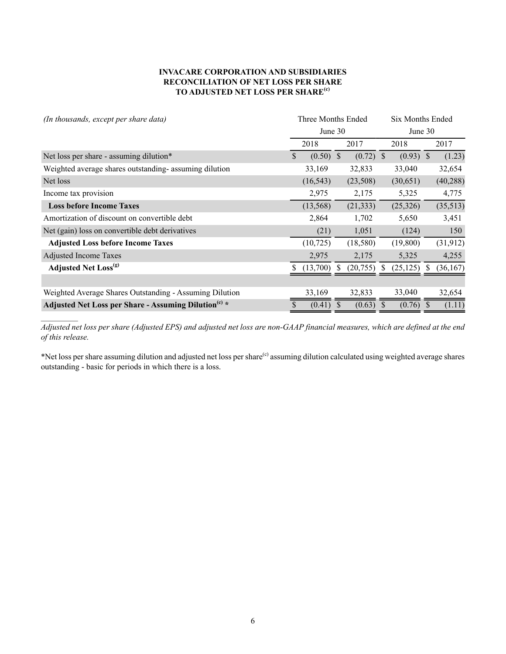#### **INVACARE CORPORATION AND SUBSIDIARIES RECONCILIATION OF NET LOSS PER SHARE TO ADJUSTED NET LOSS PER SHARE(c)**

| (In thousands, except per share data)                            |      | Three Months Ended |    |             | Six Months Ended |             |              |           |  |
|------------------------------------------------------------------|------|--------------------|----|-------------|------------------|-------------|--------------|-----------|--|
|                                                                  |      | June $30$          |    |             | June 30          |             |              |           |  |
|                                                                  | 2018 |                    |    | 2017        |                  | 2018        | 2017         |           |  |
| Net loss per share - assuming dilution*                          | \$.  | $(0.50)$ \$        |    | $(0.72)$ \$ |                  | $(0.93)$ \$ |              | (1.23)    |  |
| Weighted average shares outstanding-assuming dilution            |      | 33,169             |    | 32,833      |                  | 33,040      |              | 32,654    |  |
| Net loss                                                         |      | (16, 543)          |    | (23,508)    |                  | (30,651)    |              | (40, 288) |  |
| Income tax provision                                             |      | 2,975              |    | 2,175       |                  | 5,325       |              | 4,775     |  |
| <b>Loss before Income Taxes</b>                                  |      | (13, 568)          |    | (21, 333)   |                  | (25,326)    |              | (35,513)  |  |
| Amortization of discount on convertible debt                     |      | 2,864              |    | 1,702       |                  | 5,650       |              | 3,451     |  |
| Net (gain) loss on convertible debt derivatives                  |      | (21)               |    | 1,051       |                  | (124)       |              | 150       |  |
| <b>Adjusted Loss before Income Taxes</b>                         |      | (10, 725)          |    | (18,580)    |                  | (19,800)    |              | (31, 912) |  |
| <b>Adjusted Income Taxes</b>                                     |      | 2,975              |    | 2,175       |                  | 5,325       |              | 4,255     |  |
| <b>Adjusted Net Loss</b> <sup>(g)</sup>                          |      | (13,700)           |    | (20, 755)   |                  | (25, 125)   |              | (36, 167) |  |
|                                                                  |      |                    |    |             |                  |             |              |           |  |
| Weighted Average Shares Outstanding - Assuming Dilution          |      | 33,169             |    | 32,833      |                  | 33,040      |              | 32,654    |  |
| Adjusted Net Loss per Share - Assuming Dilution <sup>(c)</sup> * | S    | (0.41)             | -S | (0.63)      | <sup>S</sup>     | (0.76)      | <sup>S</sup> | (1.11)    |  |

*Adjusted net loss per share (Adjusted EPS) and adjusted net loss are non-GAAP financial measures, which are defined at the end of this release.* 

\*Net loss per share assuming dilution and adjusted net loss per share<sup>(c)</sup> assuming dilution calculated using weighted average shares outstanding - basic for periods in which there is a loss.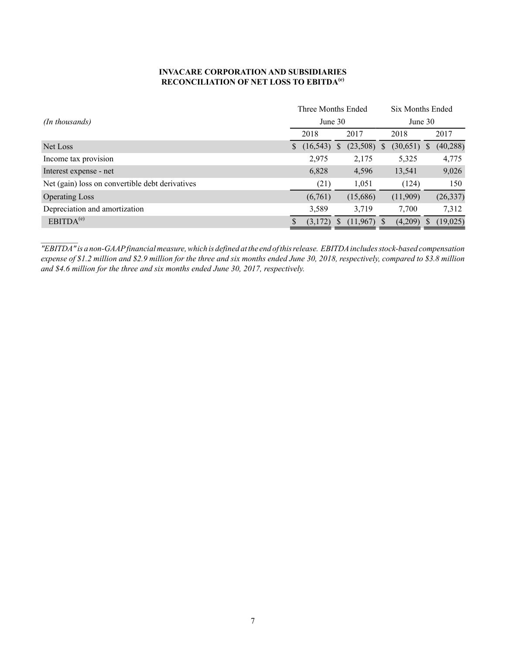#### **INVACARE CORPORATION AND SUBSIDIARIES RECONCILIATION OF NET LOSS TO EBITDA(e)**

|                                                 |   | Three Months Ended |      |           | Six Months Ended |          |      |           |  |
|-------------------------------------------------|---|--------------------|------|-----------|------------------|----------|------|-----------|--|
| (In thousands)                                  |   | June $30$          |      |           | June $30$        |          |      |           |  |
|                                                 |   | 2018               | 2017 |           | 2018             |          | 2017 |           |  |
| Net Loss                                        | S | (16, 543)          | S    | (23,508)  | S                | (30,651) | S    | (40, 288) |  |
| Income tax provision                            |   | 2,975              |      | 2,175     |                  | 5,325    |      | 4,775     |  |
| Interest expense - net                          |   | 6,828              |      | 4,596     |                  | 13,541   |      | 9,026     |  |
| Net (gain) loss on convertible debt derivatives |   | (21)               |      | 1,051     |                  | (124)    |      | 150       |  |
| <b>Operating Loss</b>                           |   | (6,761)            |      | (15,686)  |                  | (11,909) |      | (26, 337) |  |
| Depreciation and amortization                   |   | 3,589              |      | 3,719     |                  | 7,700    |      | 7,312     |  |
| EBITDA <sup>(e)</sup>                           |   | (3,172)            |      | (11, 967) |                  | (4,209)  |      | (19, 025) |  |

*"EBITDA" is a non-GAAPfinancial measure, which is defined at the end of this release. EBITDAincludes stock-based compensation expense of \$1.2 million and \$2.9 million for the three and six months ended June 30, 2018, respectively, compared to \$3.8 million and \$4.6 million for the three and six months ended June 30, 2017, respectively.*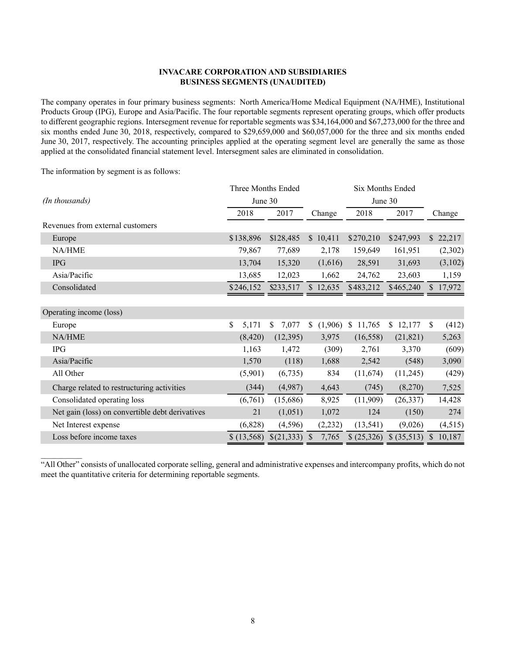#### **INVACARE CORPORATION AND SUBSIDIARIES BUSINESS SEGMENTS (UNAUDITED)**

The company operates in four primary business segments: North America/Home Medical Equipment (NA/HME), Institutional Products Group (IPG), Europe and Asia/Pacific. The four reportable segments represent operating groups, which offer products to different geographic regions. Intersegment revenue for reportable segments was \$34,164,000 and \$67,273,000 for the three and six months ended June 30, 2018, respectively, compared to \$29,659,000 and \$60,057,000 for the three and six months ended June 30, 2017, respectively. The accounting principles applied at the operating segment level are generally the same as those applied at the consolidated financial statement level. Intersegment sales are eliminated in consolidation.

The information by segment is as follows:

 $\mathcal{L}_\text{max}$ 

|                                                 | Three Months Ended |             | Six Months Ended      |                        |              |                         |  |  |  |  |
|-------------------------------------------------|--------------------|-------------|-----------------------|------------------------|--------------|-------------------------|--|--|--|--|
| (In thousands)                                  | June 30            |             |                       |                        | June 30      |                         |  |  |  |  |
|                                                 | 2018               | 2017        | Change                | 2018                   | 2017         | Change                  |  |  |  |  |
| Revenues from external customers                |                    |             |                       |                        |              |                         |  |  |  |  |
| Europe                                          | \$138,896          | \$128,485   | \$10,411              | \$270,210              | \$247,993    | \$22,217                |  |  |  |  |
| NA/HME                                          | 79,867             | 77,689      | 2,178                 | 159,649                | 161,951      | (2,302)                 |  |  |  |  |
| <b>IPG</b>                                      | 13,704             | 15,320      | (1,616)               | 28,591                 | 31,693       | (3,102)                 |  |  |  |  |
| Asia/Pacific                                    | 13,685             | 12,023      | 1,662                 | 24,762                 | 23,603       | 1,159                   |  |  |  |  |
| Consolidated                                    | \$246,152          | \$233,517   | \$12,635              | \$483,212              | \$465,240    | \$17,972                |  |  |  |  |
|                                                 |                    |             |                       |                        |              |                         |  |  |  |  |
| Operating income (loss)                         |                    |             |                       |                        |              |                         |  |  |  |  |
| Europe                                          | \$<br>5,171        | 7,077<br>\$ | (1,906)<br>\$         | $\mathbb{S}$<br>11,765 | 12,177<br>\$ | (412)<br><sup>\$</sup>  |  |  |  |  |
| NA/HME                                          | (8,420)            | (12,395)    | 3,975                 | (16, 558)              | (21, 821)    | 5,263                   |  |  |  |  |
| <b>IPG</b>                                      | 1,163              | 1,472       | (309)                 | 2,761                  | 3,370        | (609)                   |  |  |  |  |
| Asia/Pacific                                    | 1,570              | (118)       | 1,688                 | 2,542                  | (548)        | 3,090                   |  |  |  |  |
| All Other                                       | (5,901)            | (6,735)     | 834                   | (11,674)               | (11,245)     | (429)                   |  |  |  |  |
| Charge related to restructuring activities      | (344)              | (4,987)     | 4,643                 | (745)                  | (8,270)      | 7,525                   |  |  |  |  |
| Consolidated operating loss                     | (6,761)            | (15,686)    | 8,925                 | (11,909)               | (26, 337)    | 14,428                  |  |  |  |  |
| Net gain (loss) on convertible debt derivatives | 21                 | (1,051)     | 1,072                 | 124                    | (150)        | 274                     |  |  |  |  |
| Net Interest expense                            | (6,828)            | (4,596)     | (2,232)               | (13, 541)              | (9,026)      | (4,515)                 |  |  |  |  |
| Loss before income taxes                        | \$(13,568)         | \$(21,333)  | 7,765<br><sup>S</sup> | (25,326)               | \$ (35,513)  | 10,187<br><sup>\$</sup> |  |  |  |  |

"All Other" consists of unallocated corporate selling, general and administrative expenses and intercompany profits, which do not meet the quantitative criteria for determining reportable segments.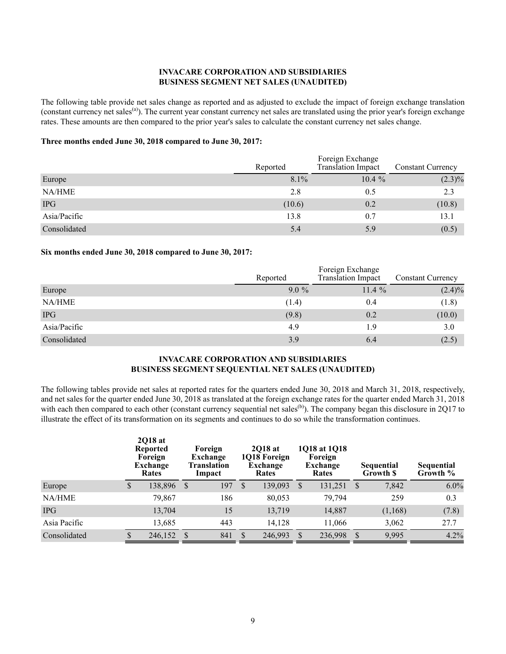#### **INVACARE CORPORATION AND SUBSIDIARIES BUSINESS SEGMENT NET SALES (UNAUDITED)**

The following table provide net sales change as reported and as adjusted to exclude the impact of foreign exchange translation (constant currency net sales<sup>(a)</sup>). The current year constant currency net sales are translated using the prior year's foreign exchange rates. These amounts are then compared to the prior year's sales to calculate the constant currency net sales change.

#### **Three months ended June 30, 2018 compared to June 30, 2017:**

|              | Reported | Foreign Exchange<br>Translation Impact | <b>Constant Currency</b> |
|--------------|----------|----------------------------------------|--------------------------|
| Europe       | $8.1\%$  | $10.4\%$                               | $(2.3)\%$                |
| NA/HME       | 2.8      | 0.5                                    | 2.3                      |
| <b>IPG</b>   | (10.6)   | 0.2                                    | (10.8)                   |
| Asia/Pacific | 13.8     | 0.7                                    | 13.1                     |
| Consolidated | 5.4      | 5.9                                    | (0.5)                    |

#### **Six months ended June 30, 2018 compared to June 30, 2017:**

|              | Reported | Foreign Exchange<br><b>Translation Impact</b> | <b>Constant Currency</b> |
|--------------|----------|-----------------------------------------------|--------------------------|
| Europe       | $9.0\%$  | $11.4\%$                                      | $(2.4)\%$                |
| NA/HME       | (1.4)    | 0.4                                           | (1.8)                    |
| <b>IPG</b>   | (9.8)    | 0.2                                           | (10.0)                   |
| Asia/Pacific | 4.9      | 1.9                                           | 3.0                      |
| Consolidated | 3.9      | 6.4                                           | (2.5)                    |

#### **INVACARE CORPORATION AND SUBSIDIARIES BUSINESS SEGMENT SEQUENTIAL NET SALES (UNAUDITED)**

The following tables provide net sales at reported rates for the quarters ended June 30, 2018 and March 31, 2018, respectively, and net sales for the quarter ended June 30, 2018 as translated at the foreign exchange rates for the quarter ended March 31, 2018 with each then compared to each other (constant currency sequential net sales<sup>(b)</sup>). The company began this disclosure in 2Q17 to illustrate the effect of its transformation on its segments and continues to do so while the transformation continues.

|              | 2018 at<br><b>Reported</b><br>Foreign<br>Exchange<br>Rates |         |     | Foreign<br>Exchange<br>Translation<br>Impact |               | 2018 at<br>1Q18 Foreign<br>Exchange<br>Rates | 1018 at 1018<br>Foreign<br>Exchange<br>Rates |         |              | <b>Sequential</b><br>Growth \$ | Sequential<br>Growth % |
|--------------|------------------------------------------------------------|---------|-----|----------------------------------------------|---------------|----------------------------------------------|----------------------------------------------|---------|--------------|--------------------------------|------------------------|
| Europe       | S                                                          | 138,896 | -\$ | 197                                          | <sup>S</sup>  | 139,093                                      | <sup>S</sup>                                 | 131,251 | <sup>S</sup> | 7,842                          | 6.0%                   |
| NA/HME       |                                                            | 79,867  |     | 186                                          |               | 80,053                                       |                                              | 79,794  |              | 259                            | 0.3                    |
| <b>IPG</b>   |                                                            | 13,704  |     | 15                                           |               | 13,719                                       |                                              | 14,887  |              | (1,168)                        | (7.8)                  |
| Asia Pacific |                                                            | 13,685  |     | 443                                          |               | 14,128                                       |                                              | 11,066  |              | 3,062                          | 27.7                   |
| Consolidated |                                                            | 246,152 |     | 841                                          | <sup>\$</sup> | 246,993                                      | \$                                           | 236,998 | \$           | 9,995                          | 4.2%                   |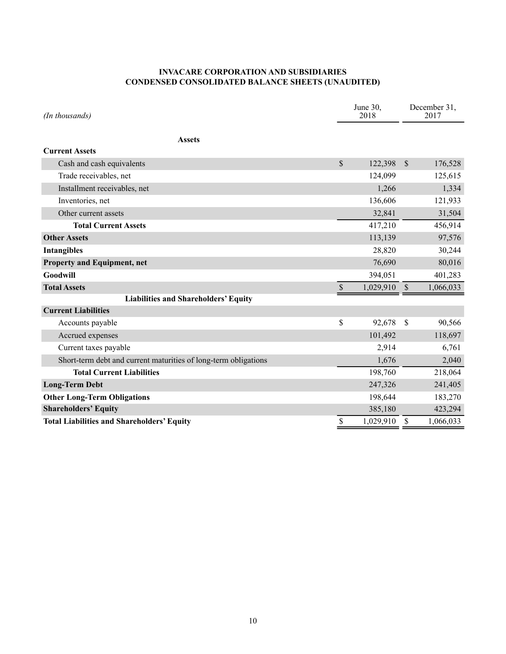# **INVACARE CORPORATION AND SUBSIDIARIES CONDENSED CONSOLIDATED BALANCE SHEETS (UNAUDITED)**

| (In thousands)                                                  | June 30,<br>2018 |           |              | December 31,<br>2017 |
|-----------------------------------------------------------------|------------------|-----------|--------------|----------------------|
| <b>Assets</b>                                                   |                  |           |              |                      |
| <b>Current Assets</b>                                           |                  |           |              |                      |
| Cash and cash equivalents                                       | \$               | 122,398   | \$           | 176,528              |
| Trade receivables, net                                          |                  | 124,099   |              | 125,615              |
| Installment receivables, net                                    |                  | 1,266     |              | 1,334                |
| Inventories, net                                                |                  | 136,606   |              | 121,933              |
| Other current assets                                            |                  | 32,841    |              | 31,504               |
| <b>Total Current Assets</b>                                     |                  | 417,210   |              | 456,914              |
| <b>Other Assets</b>                                             |                  | 113,139   |              | 97,576               |
| <b>Intangibles</b>                                              |                  | 28,820    |              | 30,244               |
| <b>Property and Equipment, net</b>                              |                  | 76,690    |              | 80,016               |
| Goodwill                                                        |                  | 394,051   |              | 401,283              |
| <b>Total Assets</b>                                             | \$               | 1,029,910 | $\mathbb{S}$ | 1,066,033            |
| <b>Liabilities and Shareholders' Equity</b>                     |                  |           |              |                      |
| <b>Current Liabilities</b>                                      |                  |           |              |                      |
| Accounts payable                                                | \$               | 92,678    | \$           | 90,566               |
| Accrued expenses                                                |                  | 101,492   |              | 118,697              |
| Current taxes payable                                           |                  | 2,914     |              | 6,761                |
| Short-term debt and current maturities of long-term obligations |                  | 1,676     |              | 2,040                |
| <b>Total Current Liabilities</b>                                |                  | 198,760   |              | 218,064              |
| <b>Long-Term Debt</b>                                           |                  | 247,326   |              | 241,405              |
| <b>Other Long-Term Obligations</b>                              |                  | 198,644   |              | 183,270              |
| <b>Shareholders' Equity</b>                                     |                  | 385,180   |              | 423,294              |
| <b>Total Liabilities and Shareholders' Equity</b>               | \$               | 1,029,910 | \$           | 1,066,033            |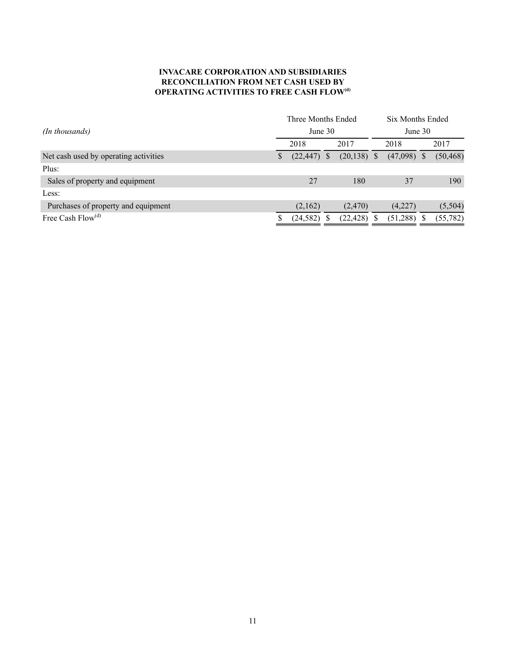#### **INVACARE CORPORATION AND SUBSIDIARIES RECONCILIATION FROM NET CASH USED BY OPERATING ACTIVITIES TO FREE CASH FLOW(d)**

|                                       |   | Three Months Ended | Six Months Ended |            |               |               |  |           |
|---------------------------------------|---|--------------------|------------------|------------|---------------|---------------|--|-----------|
| (In thousands)                        |   | June $30$          |                  | June $301$ |               |               |  |           |
|                                       |   | 2018               |                  | 2017       |               | 2018          |  | 2017      |
| Net cash used by operating activities | S | (22, 447)          |                  | (20, 138)  | <sup>\$</sup> | $(47,098)$ \$ |  | (50, 468) |
| Plus:                                 |   |                    |                  |            |               |               |  |           |
| Sales of property and equipment       |   | 27                 |                  | 180        |               | 37            |  | 190       |
| Less:                                 |   |                    |                  |            |               |               |  |           |
| Purchases of property and equipment   |   | (2,162)            |                  | (2,470)    |               | (4,227)       |  | (5,504)   |
| Free Cash $Flow(d)$                   |   | (24, 582)          |                  | (22, 428)  |               | (51, 288)     |  | (55, 782) |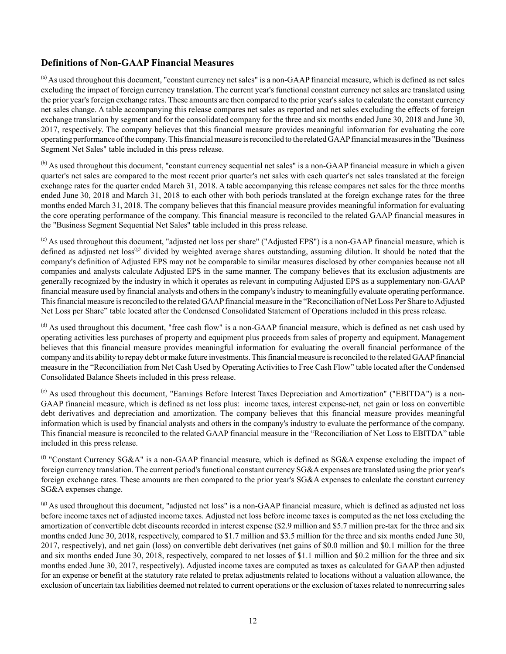# **Definitions of Non-GAAP Financial Measures**

<sup>(a)</sup> As used throughout this document, "constant currency net sales" is a non-GAAP financial measure, which is defined as net sales excluding the impact of foreign currency translation. The current year's functional constant currency net sales are translated using the prior year's foreign exchange rates. These amounts are then compared to the prior year's sales to calculate the constant currency net sales change. A table accompanying this release compares net sales as reported and net sales excluding the effects of foreign exchange translation by segment and for the consolidated company for the three and six months ended June 30, 2018 and June 30, 2017, respectively. The company believes that this financial measure provides meaningful information for evaluating the core operating performance of the company. This financial measure is reconciled to the related GAAPfinancial measures in the "Business Segment Net Sales" table included in this press release.

<sup>(b)</sup> As used throughout this document, "constant currency sequential net sales" is a non-GAAP financial measure in which a given quarter's net sales are compared to the most recent prior quarter's net sales with each quarter's net sales translated at the foreign exchange rates for the quarter ended March 31, 2018. A table accompanying this release compares net sales for the three months ended June 30, 2018 and March 31, 2018 to each other with both periods translated at the foreign exchange rates for the three months ended March 31, 2018. The company believes that this financial measure provides meaningful information for evaluating the core operating performance of the company. This financial measure is reconciled to the related GAAP financial measures in the "Business Segment Sequential Net Sales" table included in this press release.

 $^{(c)}$  As used throughout this document, "adjusted net loss per share" ("Adjusted EPS") is a non-GAAP financial measure, which is defined as adjusted net loss<sup>(g)</sup> divided by weighted average shares outstanding, assuming dilution. It should be noted that the company's definition of Adjusted EPS may not be comparable to similar measures disclosed by other companies because not all companies and analysts calculate Adjusted EPS in the same manner. The company believes that its exclusion adjustments are generally recognized by the industry in which it operates as relevant in computing Adjusted EPS as a supplementary non-GAAP financial measure used by financial analysts and others in the company's industry to meaningfully evaluate operating performance. This financial measure is reconciled to the related GAAPfinancial measure in the "Reconciliation of Net Loss Per Share to Adjusted Net Loss per Share" table located after the Condensed Consolidated Statement of Operations included in this press release.

(d) As used throughout this document, "free cash flow" is a non-GAAP financial measure, which is defined as net cash used by operating activities less purchases of property and equipment plus proceeds from sales of property and equipment. Management believes that this financial measure provides meaningful information for evaluating the overall financial performance of the company and its ability to repay debt or make future investments. This financial measure is reconciled to the related GAAPfinancial measure in the "Reconciliation from Net Cash Used by Operating Activities to Free Cash Flow" table located after the Condensed Consolidated Balance Sheets included in this press release.

(e) As used throughout this document, "Earnings Before Interest Taxes Depreciation and Amortization" ("EBITDA") is a non-GAAP financial measure, which is defined as net loss plus: income taxes, interest expense-net, net gain or loss on convertible debt derivatives and depreciation and amortization. The company believes that this financial measure provides meaningful information which is used by financial analysts and others in the company's industry to evaluate the performance of the company. This financial measure is reconciled to the related GAAP financial measure in the "Reconciliation of Net Loss to EBITDA" table included in this press release.

 $<sup>(f)</sup>$  "Constant Currency SG&A" is a non-GAAP financial measure, which is defined as SG&A expense excluding the impact of</sup> foreign currency translation. The current period's functional constant currency SG&A expenses are translated using the prior year's foreign exchange rates. These amounts are then compared to the prior year's SG&A expenses to calculate the constant currency SG&A expenses change.

(g) As used throughout this document, "adjusted net loss" is a non-GAAP financial measure, which is defined as adjusted net loss before income taxes net of adjusted income taxes. Adjusted net loss before income taxes is computed as the net loss excluding the amortization of convertible debt discounts recorded in interest expense (\$2.9 million and \$5.7 million pre-tax for the three and six months ended June 30, 2018, respectively, compared to \$1.7 million and \$3.5 million for the three and six months ended June 30, 2017, respectively), and net gain (loss) on convertible debt derivatives (net gains of \$0.0 million and \$0.1 million for the three and six months ended June 30, 2018, respectively, compared to net losses of \$1.1 million and \$0.2 million for the three and six months ended June 30, 2017, respectively). Adjusted income taxes are computed as taxes as calculated for GAAP then adjusted for an expense or benefit at the statutory rate related to pretax adjustments related to locations without a valuation allowance, the exclusion of uncertain tax liabilities deemed not related to current operations or the exclusion of taxes related to nonrecurring sales